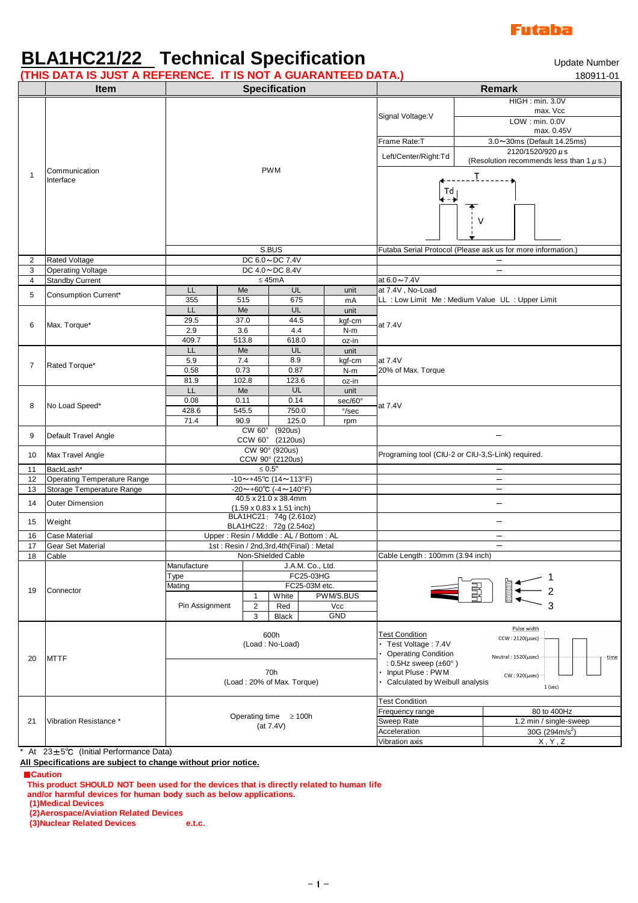## **Futaba**

## **BLA1HC21/22 Technical Specification** The Controller Number

**(THIS DATA IS JUST A REFERENCE. IT IS NOT A GUARANTEED DATA.)** 180911-01

|    | <u>HIIO DATA IO 000 FAINEI ENENGEE IT IO NOT A OOANANTEED DATA.</u><br><b>Item</b> |                                                                        |                                         |            |               |  |                                                                                                                                                                                                                                                                                                                                                          | 1 UUJ 1 1 U 1<br><b>Remark</b>                                                                                                                                                                                                   |                 |                                              |  |  |
|----|------------------------------------------------------------------------------------|------------------------------------------------------------------------|-----------------------------------------|------------|---------------|--|----------------------------------------------------------------------------------------------------------------------------------------------------------------------------------------------------------------------------------------------------------------------------------------------------------------------------------------------------------|----------------------------------------------------------------------------------------------------------------------------------------------------------------------------------------------------------------------------------|-----------------|----------------------------------------------|--|--|
|    |                                                                                    | <b>Specification</b>                                                   |                                         |            |               |  |                                                                                                                                                                                                                                                                                                                                                          |                                                                                                                                                                                                                                  | HIGH: min. 3.0V |                                              |  |  |
|    | Communication<br>Interface                                                         |                                                                        |                                         |            |               |  |                                                                                                                                                                                                                                                                                                                                                          | max. Vcc                                                                                                                                                                                                                         |                 |                                              |  |  |
|    |                                                                                    |                                                                        |                                         |            |               |  |                                                                                                                                                                                                                                                                                                                                                          | Signal Voltage: V                                                                                                                                                                                                                |                 | LOW: min. 0.0V                               |  |  |
|    |                                                                                    |                                                                        |                                         |            |               |  |                                                                                                                                                                                                                                                                                                                                                          |                                                                                                                                                                                                                                  |                 | max. 0.45V                                   |  |  |
|    |                                                                                    |                                                                        |                                         |            |               |  |                                                                                                                                                                                                                                                                                                                                                          | Frame Rate:T                                                                                                                                                                                                                     |                 | 3.0~30ms (Default 14.25ms)                   |  |  |
|    |                                                                                    |                                                                        |                                         |            |               |  |                                                                                                                                                                                                                                                                                                                                                          | Left/Center/Right:Td                                                                                                                                                                                                             |                 | $2120/1520/920 \,\mu s$                      |  |  |
| 1  |                                                                                    | <b>PWM</b>                                                             |                                         |            |               |  |                                                                                                                                                                                                                                                                                                                                                          |                                                                                                                                                                                                                                  |                 | (Resolution recommends less than $1 \mu$ s.) |  |  |
|    |                                                                                    |                                                                        |                                         |            |               |  |                                                                                                                                                                                                                                                                                                                                                          |                                                                                                                                                                                                                                  |                 |                                              |  |  |
|    |                                                                                    |                                                                        |                                         |            |               |  |                                                                                                                                                                                                                                                                                                                                                          | Td                                                                                                                                                                                                                               |                 |                                              |  |  |
|    |                                                                                    |                                                                        |                                         |            |               |  |                                                                                                                                                                                                                                                                                                                                                          | ←−→                                                                                                                                                                                                                              |                 |                                              |  |  |
|    |                                                                                    |                                                                        |                                         |            |               |  |                                                                                                                                                                                                                                                                                                                                                          |                                                                                                                                                                                                                                  |                 |                                              |  |  |
|    |                                                                                    |                                                                        |                                         |            |               |  |                                                                                                                                                                                                                                                                                                                                                          |                                                                                                                                                                                                                                  |                 |                                              |  |  |
|    |                                                                                    |                                                                        |                                         |            |               |  |                                                                                                                                                                                                                                                                                                                                                          |                                                                                                                                                                                                                                  |                 |                                              |  |  |
|    |                                                                                    | S.BUS                                                                  |                                         |            |               |  |                                                                                                                                                                                                                                                                                                                                                          | Futaba Serial Protocol (Please ask us for more information.)                                                                                                                                                                     |                 |                                              |  |  |
| 2  | Rated Voltage                                                                      |                                                                        | DC 6.0~DC 7.4V                          |            |               |  |                                                                                                                                                                                                                                                                                                                                                          |                                                                                                                                                                                                                                  |                 |                                              |  |  |
| 3  | <b>Operating Voltage</b>                                                           |                                                                        | DC 4.0~DC 8.4V                          |            |               |  |                                                                                                                                                                                                                                                                                                                                                          |                                                                                                                                                                                                                                  |                 | $\overline{\phantom{0}}$                     |  |  |
| 4  | <b>Standby Current</b>                                                             | $\leq$ 45mA                                                            |                                         |            |               |  |                                                                                                                                                                                                                                                                                                                                                          | at 6.0~7.4V                                                                                                                                                                                                                      |                 |                                              |  |  |
| 5  | Consumption Current*                                                               | LL.                                                                    |                                         | Me         | UL            |  | unit                                                                                                                                                                                                                                                                                                                                                     | at 7.4V. No-Load                                                                                                                                                                                                                 |                 |                                              |  |  |
|    |                                                                                    | 355                                                                    |                                         | 515        | 675           |  | mA                                                                                                                                                                                                                                                                                                                                                       | LL : Low Limit Me : Medium Value UL : Upper Limit                                                                                                                                                                                |                 |                                              |  |  |
| 6  | Max. Torque*                                                                       | LL<br>29.5                                                             |                                         | Me<br>37.0 | UL<br>44.5    |  | unit                                                                                                                                                                                                                                                                                                                                                     |                                                                                                                                                                                                                                  |                 |                                              |  |  |
|    |                                                                                    | 2.9                                                                    |                                         | 3.6        | 4.4           |  | kgf-cm<br>$N-m$                                                                                                                                                                                                                                                                                                                                          | at 7.4V                                                                                                                                                                                                                          |                 |                                              |  |  |
|    |                                                                                    | 409.7                                                                  |                                         | 513.8      | 618.0         |  | oz-in                                                                                                                                                                                                                                                                                                                                                    |                                                                                                                                                                                                                                  |                 |                                              |  |  |
| 7  | Rated Torque*                                                                      | LL                                                                     |                                         | Me         | UL            |  | unit                                                                                                                                                                                                                                                                                                                                                     |                                                                                                                                                                                                                                  |                 |                                              |  |  |
|    |                                                                                    | 5.9                                                                    |                                         | $7.4$      | 8.9           |  | kgf-cm                                                                                                                                                                                                                                                                                                                                                   | at 7.4V                                                                                                                                                                                                                          |                 |                                              |  |  |
|    |                                                                                    | 0.58                                                                   |                                         | 0.73       | 0.87          |  | $N-m$                                                                                                                                                                                                                                                                                                                                                    | 20% of Max. Torque                                                                                                                                                                                                               |                 |                                              |  |  |
|    |                                                                                    | 81.9                                                                   |                                         | 102.8      | 123.6         |  | oz-in                                                                                                                                                                                                                                                                                                                                                    |                                                                                                                                                                                                                                  |                 |                                              |  |  |
| 8  | No Load Speed*                                                                     | LL                                                                     | 0.11                                    | Me         | UL            |  | unit                                                                                                                                                                                                                                                                                                                                                     |                                                                                                                                                                                                                                  |                 |                                              |  |  |
|    |                                                                                    | 0.08<br>428.6                                                          |                                         | 545.5      | 0.14<br>750.0 |  | sec/60°<br>$\degree$ /sec                                                                                                                                                                                                                                                                                                                                | at 7.4V                                                                                                                                                                                                                          |                 |                                              |  |  |
|    |                                                                                    | 71.4                                                                   |                                         | 90.9       | 125.0         |  | rpm                                                                                                                                                                                                                                                                                                                                                      |                                                                                                                                                                                                                                  |                 |                                              |  |  |
| 9  |                                                                                    | CW 60° (920us)<br>CCW 60° (2120us)<br>CW 90° (920us)                   |                                         |            |               |  |                                                                                                                                                                                                                                                                                                                                                          |                                                                                                                                                                                                                                  |                 |                                              |  |  |
|    | Default Travel Angle                                                               |                                                                        |                                         |            |               |  |                                                                                                                                                                                                                                                                                                                                                          |                                                                                                                                                                                                                                  |                 |                                              |  |  |
| 10 | Max Travel Angle                                                                   |                                                                        |                                         |            |               |  |                                                                                                                                                                                                                                                                                                                                                          | Programing tool (CIU-2 or CIU-3,S-Link) required.                                                                                                                                                                                |                 |                                              |  |  |
| 11 | BackLash*                                                                          | CCW 90° (2120us)<br>$\leq 0.5^\circ$                                   |                                         |            |               |  |                                                                                                                                                                                                                                                                                                                                                          |                                                                                                                                                                                                                                  |                 |                                              |  |  |
| 12 | Operating Temperature Range                                                        | $-10$ ~+45°C (14~113°F)                                                |                                         |            |               |  |                                                                                                                                                                                                                                                                                                                                                          |                                                                                                                                                                                                                                  |                 | $\qquad \qquad -$                            |  |  |
| 13 | Storage Temperature Range                                                          | $-20 \sim +60^{\circ}$ C ( $-4 \sim 140^{\circ}$ F)                    |                                         |            |               |  |                                                                                                                                                                                                                                                                                                                                                          |                                                                                                                                                                                                                                  |                 | $\overline{\phantom{m}}$                     |  |  |
| 14 | <b>Outer Dimension</b>                                                             | 40.5 x 21.0 x 38.4mm                                                   |                                         |            |               |  |                                                                                                                                                                                                                                                                                                                                                          |                                                                                                                                                                                                                                  |                 | $\equiv$                                     |  |  |
|    |                                                                                    | $(1.59 \times 0.83 \times 1.51 \text{ inch})$<br>BLA1HC21 74g (2.61oz) |                                         |            |               |  |                                                                                                                                                                                                                                                                                                                                                          |                                                                                                                                                                                                                                  |                 |                                              |  |  |
| 15 | Weight                                                                             | BLA1HC22 72g (2.54oz)                                                  |                                         |            |               |  |                                                                                                                                                                                                                                                                                                                                                          |                                                                                                                                                                                                                                  |                 | $\overline{\phantom{a}}$                     |  |  |
| 16 | <b>Case Material</b>                                                               | Upper: Resin / Middle: AL / Bottom: AL                                 |                                         |            |               |  |                                                                                                                                                                                                                                                                                                                                                          |                                                                                                                                                                                                                                  |                 | $\overline{\phantom{m}}$                     |  |  |
| 17 | <b>Gear Set Material</b>                                                           | 1st: Resin / 2nd, 3rd, 4th (Final): Metal                              |                                         |            |               |  |                                                                                                                                                                                                                                                                                                                                                          |                                                                                                                                                                                                                                  |                 | $\equiv$                                     |  |  |
| 18 | Cable                                                                              | Non-Shielded Cable                                                     |                                         |            |               |  |                                                                                                                                                                                                                                                                                                                                                          | Cable Length: 100mm (3.94 inch)                                                                                                                                                                                                  |                 |                                              |  |  |
| 19 | Connector                                                                          | J.A.M. Co., Ltd.<br>Manufacture<br>FC25-03HG<br>Type                   |                                         |            |               |  |                                                                                                                                                                                                                                                                                                                                                          |                                                                                                                                                                                                                                  |                 |                                              |  |  |
|    |                                                                                    | FC25-03M etc.<br>Mating                                                |                                         |            |               |  |                                                                                                                                                                                                                                                                                                                                                          |                                                                                                                                                                                                                                  |                 |                                              |  |  |
|    |                                                                                    |                                                                        | PWM/S.BUS<br>$\mathbf{1}$<br>White      |            |               |  | $\begin{picture}(120,115) \put(0,0){\line(1,0){15}} \put(15,0){\line(1,0){15}} \put(15,0){\line(1,0){15}} \put(15,0){\line(1,0){15}} \put(15,0){\line(1,0){15}} \put(15,0){\line(1,0){15}} \put(15,0){\line(1,0){15}} \put(15,0){\line(1,0){15}} \put(15,0){\line(1,0){15}} \put(15,0){\line(1,0){15}} \put(15,0){\line(1,0){15}} \put(15,0){\line$<br>冒 |                                                                                                                                                                                                                                  |                 |                                              |  |  |
|    |                                                                                    | Pin Assignment                                                         | 2                                       | Red        | Vcc           |  |                                                                                                                                                                                                                                                                                                                                                          |                                                                                                                                                                                                                                  |                 |                                              |  |  |
|    |                                                                                    | GND<br>3<br><b>Black</b>                                               |                                         |            |               |  |                                                                                                                                                                                                                                                                                                                                                          |                                                                                                                                                                                                                                  |                 |                                              |  |  |
| 20 | <b>MTTF</b>                                                                        | 600h<br>(Load: No-Load)                                                |                                         |            |               |  |                                                                                                                                                                                                                                                                                                                                                          | <b>Test Condition</b>                                                                                                                                                                                                            |                 | Pulse width                                  |  |  |
|    |                                                                                    |                                                                        |                                         |            |               |  |                                                                                                                                                                                                                                                                                                                                                          | $CCW: 2120(\mu sec)$<br>Test Voltage: 7.4V<br><b>Operating Condition</b><br>Neutral: 1520(usec)<br>time<br>: $0.5$ Hz sweep $(\pm 60^\circ)$<br>Input Pluse: PWM<br>CW: 920(µsec)<br>Calculated by Weibull analysis<br>$1$ (sec) |                 |                                              |  |  |
|    |                                                                                    |                                                                        |                                         |            |               |  |                                                                                                                                                                                                                                                                                                                                                          |                                                                                                                                                                                                                                  |                 |                                              |  |  |
|    |                                                                                    | 70h<br>(Load: 20% of Max. Torque)                                      |                                         |            |               |  |                                                                                                                                                                                                                                                                                                                                                          |                                                                                                                                                                                                                                  |                 |                                              |  |  |
|    |                                                                                    |                                                                        |                                         |            |               |  |                                                                                                                                                                                                                                                                                                                                                          |                                                                                                                                                                                                                                  |                 |                                              |  |  |
|    |                                                                                    |                                                                        |                                         |            |               |  |                                                                                                                                                                                                                                                                                                                                                          |                                                                                                                                                                                                                                  |                 |                                              |  |  |
|    | Vibration Resistance *                                                             |                                                                        |                                         |            |               |  |                                                                                                                                                                                                                                                                                                                                                          | <b>Test Condition</b>                                                                                                                                                                                                            |                 |                                              |  |  |
|    |                                                                                    |                                                                        |                                         |            |               |  |                                                                                                                                                                                                                                                                                                                                                          | Frequency range                                                                                                                                                                                                                  |                 | 80 to 400Hz                                  |  |  |
| 21 |                                                                                    |                                                                        | Operating time $\geq 100h$<br>(at 7.4V) |            |               |  |                                                                                                                                                                                                                                                                                                                                                          | Sweep Rate                                                                                                                                                                                                                       |                 | 1.2 min / single-sweep                       |  |  |
|    |                                                                                    |                                                                        |                                         |            |               |  |                                                                                                                                                                                                                                                                                                                                                          | Acceleration                                                                                                                                                                                                                     |                 | 30G (294m/s <sup>2</sup> )                   |  |  |
|    |                                                                                    |                                                                        |                                         |            |               |  |                                                                                                                                                                                                                                                                                                                                                          | Vibration axis                                                                                                                                                                                                                   |                 | X, Y, Z                                      |  |  |

\* At 23±5℃ (Initial Performance Data)

**All Specifications are subject to change without prior notice.**

■**Caution**

- **This product SHOULD NOT been used for the devices that is directly related to human life**
- **and/or harmful devices for human body such as below applications.**

**(1)Medical Devices**

**(2)Aerospace/Aviation Related Devices**

**(3)Nuclear Related Devices e.t.c.**